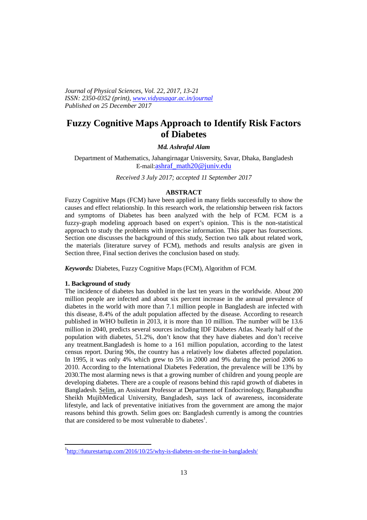*Journal of Physical Sciences, Vol. 22, 2017, 13-21 ISSN: 2350-0352 (print), www.vidyasagar.ac.in/journal Published on 25 December 2017* 

# **Fuzzy Cognitive Maps Approach to Identify Risk Factors of Diabetes**

*Md. Ashraful Alam* 

Department of Mathematics, Jahangirnagar Unisversity, Savar, Dhaka, Bangladesh E-mail:ashraf\_math20@juniv.edu

*Received 3 July 2017; accepted 11 September 2017* 

# **ABSTRACT**

Fuzzy Cognitive Maps (FCM) have been applied in many fields successfully to show the causes and effect relationship. In this research work, the relationship between risk factors and symptoms of Diabetes has been analyzed with the help of FCM. FCM is a fuzzy-graph modeling approach based on expert's opinion. This is the non-statistical approach to study the problems with imprecise information. This paper has foursections. Section one discusses the background of this study, Section two talk about related work, the materials (literature survey of FCM), methods and results analysis are given in Section three, Final section derives the conclusion based on study.

*Keywords:* Diabetes, Fuzzy Cognitive Maps (FCM), Algorithm of FCM.

## **1. Background of study**

 $\overline{a}$ 

The incidence of diabetes has doubled in the last ten years in the worldwide. About 200 million people are infected and about six percent increase in the annual prevalence of diabetes in the world with more than 7.1 million people in Bangladesh are infected with this disease, 8.4% of the adult population affected by the disease. According to research published in WHO bulletin in 2013, it is more than 10 million. The number will be 13.6 million in 2040, predicts several sources including IDF Diabetes Atlas. Nearly half of the population with diabetes, 51.2%, don't know that they have diabetes and don't receive any treatment.Bangladesh is home to a 161 million population, according to the latest census report. During 90s, the country has a relatively low diabetes affected population. In 1995, it was only 4% which grew to 5% in 2000 and 9% during the period 2006 to 2010. According to the International Diabetes Federation, the prevalence will be 13% by 2030.The most alarming news is that a growing number of children and young people are developing diabetes. There are a couple of reasons behind this rapid growth of diabetes in Bangladesh. Selim, an Assistant Professor at Department of Endocrinology, Bangabandhu Sheikh MujibMedical University, Bangladesh, says lack of awareness, inconsiderate lifestyle, and lack of preventative initiatives from the government are among the major reasons behind this growth. Selim goes on: Bangladesh currently is among the countries that are considered to be most vulnerable to diabetes<sup>1</sup>.

<sup>&</sup>lt;sup>1</sup>http://futurestartup.com/2016/10/25/why-is-diabetes-on-the-rise-in-bangladesh/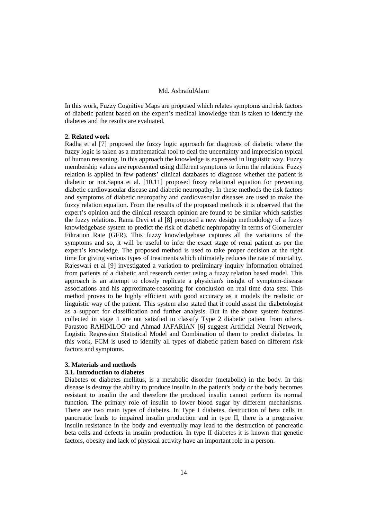In this work, Fuzzy Cognitive Maps are proposed which relates symptoms and risk factors of diabetic patient based on the expert's medical knowledge that is taken to identify the diabetes and the results are evaluated.

#### **2. Related work**

Radha et al [7] proposed the fuzzy logic approach for diagnosis of diabetic where the fuzzy logic is taken as a mathematical tool to deal the uncertainty and imprecision typical of human reasoning. In this approach the knowledge is expressed in linguistic way. Fuzzy membership values are represented using different symptoms to form the relations. Fuzzy relation is applied in few patients' clinical databases to diagnose whether the patient is diabetic or not.Sapna et al. [10,11] proposed fuzzy relational equation for preventing diabetic cardiovascular disease and diabetic neuropathy. In these methods the risk factors and symptoms of diabetic neuropathy and cardiovascular diseases are used to make the fuzzy relation equation. From the results of the proposed methods it is observed that the expert's opinion and the clinical research opinion are found to be similar which satisfies the fuzzy relations. Rama Devi et al [8] proposed a new design methodology of a fuzzy knowledgebase system to predict the risk of diabetic nephropathy in terms of Glomeruler Filtration Rate (GFR). This fuzzy knowledgebase captures all the variations of the symptoms and so, it will be useful to infer the exact stage of renal patient as per the expert's knowledge. The proposed method is used to take proper decision at the right time for giving various types of treatments which ultimately reduces the rate of mortality. Rajeswari et al [9] investigated a variation to preliminary inquiry information obtained from patients of a diabetic and research center using a fuzzy relation based model. This approach is an attempt to closely replicate a physician's insight of symptom-disease associations and his approximate-reasoning for conclusion on real time data sets. This method proves to be highly efficient with good accuracy as it models the realistic or linguistic way of the patient. This system also stated that it could assist the diabetologist as a support for classification and further analysis. But in the above system features collected in stage 1 are not satisfied to classify Type 2 diabetic patient from others. Parastoo RAHIMLOO and Ahmad JAFARIAN [6] suggest Artificial Neural Network, Logistic Regression Statistical Model and Combination of them to predict diabetes. In this work, FCM is used to identify all types of diabetic patient based on different risk factors and symptoms.

### **3. Materials and methods**

#### **3.1. Introduction to diabetes**

Diabetes or diabetes mellitus, is a metabolic disorder (metabolic) in the body. In this disease is destroy the ability to produce insulin in the patient's body or the body becomes resistant to insulin the and therefore the produced insulin cannot perform its normal function. The primary role of insulin to lower blood sugar by different mechanisms. There are two main types of diabetes. In Type I diabetes, destruction of beta cells in pancreatic leads to impaired insulin production and in type II, there is a progressive insulin resistance in the body and eventually may lead to the destruction of pancreatic beta cells and defects in insulin production. In type II diabetes it is known that genetic factors, obesity and lack of physical activity have an important role in a person.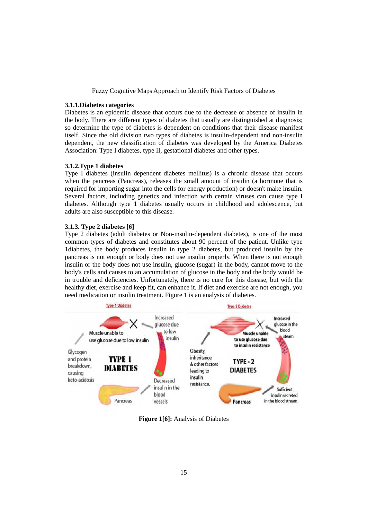## **3.1.1.Diabetes categories**

Diabetes is an epidemic disease that occurs due to the decrease or absence of insulin in the body. There are different types of diabetes that usually are distinguished at diagnosis; so determine the type of diabetes is dependent on conditions that their disease manifest itself. Since the old division two types of diabetes is insulin-dependent and non-insulin dependent, the new classification of diabetes was developed by the America Diabetes Association: Type I diabetes, type II, gestational diabetes and other types.

### **3.1.2.Type 1 diabetes**

Type I diabetes (insulin dependent diabetes mellitus) is a chronic disease that occurs when the pancreas (Pancreas), releases the small amount of insulin (a hormone that is required for importing sugar into the cells for energy production) or doesn't make insulin. Several factors, including genetics and infection with certain viruses can cause type I diabetes. Although type 1 diabetes usually occurs in childhood and adolescence, but adults are also susceptible to this disease.

## **3.1.3. Type 2 diabetes [6]**

Type 2 diabetes (adult diabetes or Non-insulin-dependent diabetes), is one of the most common types of diabetes and constitutes about 90 percent of the patient. Unlike type 1diabetes, the body produces insulin in type 2 diabetes, but produced insulin by the pancreas is not enough or body does not use insulin properly. When there is not enough insulin or the body does not use insulin, glucose (sugar) in the body, cannot move to the body's cells and causes to an accumulation of glucose in the body and the body would be in trouble and deficiencies. Unfortunately, there is no cure for this disease, but with the healthy diet, exercise and keep fit, can enhance it. If diet and exercise are not enough, you need medication or insulin treatment. Figure 1 is an analysis of diabetes.



**Figure 1[6]:** Analysis of Diabetes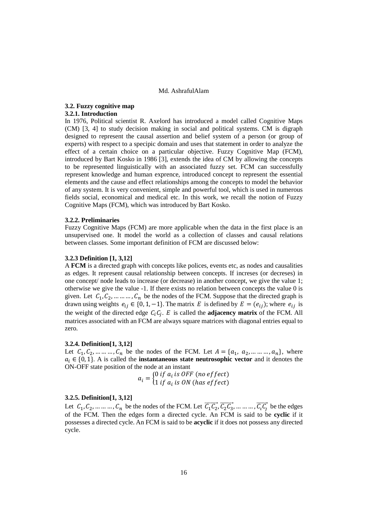## **3.2. Fuzzy cognitive map 3.2.1. Introduction**

In 1976, Political scientist R. Axelord has introduced a model called Cognitive Maps (CM) [3, 4] to study decision making in social and political systems. CM is digraph designed to represent the causal assertion and belief system of a person (or group of experts) with respect to a specipic domain and uses that statement in order to analyze the effect of a certain choice on a particular objective. Fuzzy Cognitive Map (FCM), introduced by Bart Kosko in 1986 [3], extends the idea of CM by allowing the concepts to be represented linguistically with an associated fuzzy set. FCM can successfully represent knowledge and human exprence, introduced concept to represent the essential elements and the cause and effect relationships among the concepts to model the behavior of any system. It is very convenient, simple and powerful tool, which is used in numerous fields social, economical and medical etc. In this work, we recall the notion of Fuzzy Cognitive Maps (FCM), which was introduced by Bart Kosko.

# **3.2.2. Preliminaries**

Fuzzy Cognitive Maps (FCM) are more applicable when the data in the first place is an unsupervised one. It model the world as a collection of classes and causal relations between classes. Some important definition of FCM are discussed below:

## **3.2.3 Definition [1, 3,12]**

A **FCM** is a directed graph with concepts like polices, events etc, as nodes and causalities as edges. It represent causal relationship between concepts. If increses (or decreses) in one concept/ node leads to increase (or decrease) in another concept, we give the value 1; otherwise we give the value -1. If there exists no relation between concepts the value 0 is given. Let  $C_1, C_2, \ldots, C_n$  be the nodes of the FCM. Suppose that the directed graph is drawn using weights  $e_{ij} \in \{0, 1, -1\}$ . The matrix E is defined by  $E = (e_{ij})$ ; where  $e_{ij}$  is the weight of the directed edge  $C_iC_j$ . E is called the **adjacency matrix** of the FCM. All matrices associated with an FCM are always square matrices with diagonal entries equal to zero.

# **3.2.4. Definition[1, 3,12]**

Let  $C_1, C_2, \dots, C_n$  be the nodes of the FCM. Let  $A = \{a_1, a_2, \dots, a_n\}$ , where  $a_i \in \{0, 1\}$ . A is called the **instantaneous state neutrosophic vector** and it denotes the ON-OFF state position of the node at an instant

$$
a_i = \begin{cases} 0 \text{ if } a_i \text{ is } 0 \text{ FF (no effect)} \\ 1 \text{ if } a_i \text{ is } 0 \text{N (has effect)} \end{cases}
$$

## **3.2.5. Definition[1, 3,12]**

Let  $C_1, C_2, \dots, C_n$  be the nodes of the FCM. Let  $\overrightarrow{C_1C_2}, \overrightarrow{C_2C_3}, \dots, \overrightarrow{C_iC_j}$  be the edges of the FCM. Then the edges form a directed cycle. An FCM is said to be **cyclic** if it possesses a directed cycle. An FCM is said to be **acyclic** if it does not possess any directed cycle.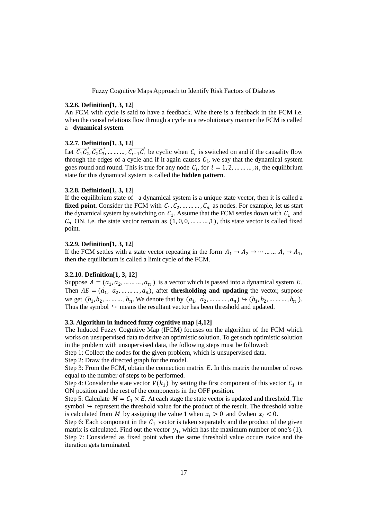# **3.2.6. Definition[1, 3, 12]**

An FCM with cycle is said to have a feedback. Whe there is a feedback in the FCM i.e. when the causal relations flow through a cycle in a revolutionary manner the FCM is called a **dynamical system**.

### **3.2.7. Definition[1, 3, 12]**

Let  $\overrightarrow{C_1C_2}, \overrightarrow{C_2C_3}, \dots \dots \dots, \overrightarrow{C_{l-1}C_l}$  be cyclic when  $C_i$  is switched on and if the causality flow through the edges of a cycle and if it again causes  $C_i$ , we say that the dynamical system goes round and round. This is true for any node  $C_i$ , for  $i = 1, 2, ..., ..., n$ , the equilibrium state for this dynamical system is called the **hidden pattern**.

#### **3.2.8. Definition[1, 3, 12]**

If the equilibrium state of a dynamical system is a unique state vector, then it is called a **fixed point**. Consider the FCM with  $C_1, C_2, \dots, C_n$  as nodes. For example, let us start the dynamical system by switching on  $C_1$ . Assume that the FCM settles down with  $C_1$  and  $C_n$  ON, i.e. the state vector remain as  $(1, 0, 0, \dots, 1)$ , this state vector is called fixed point.

#### **3.2.9. Definition[1, 3, 12]**

If the FCM settles with a state vector repeating in the form  $A_1 \rightarrow A_2 \rightarrow \cdots \dots \dots A_i \rightarrow A_1$ , then the equilibrium is called a limit cycle of the FCM.

# **3.2.10. Definition[1, 3, 12]**

Suppose  $A = (a_1, a_2, \dots, a_n)$  is a vector which is passed into a dynamical system E. Then  $AE = (a_1, a_2, \dots, a_n)$ , after **thresholding and updating** the vector, suppose we get  $(b_1, b_2, \dots, b_n$ . We denote that by  $(a_1, a_2, \dots, a_n) \hookrightarrow (b_1, b_2, \dots, b_n)$ . Thus the symbol  $\hookrightarrow$  means the resultant vector has been threshold and updated.

#### **3.3. Algorithm in induced fuzzy cognitive map [4,12]**

The Induced Fuzzy Cognitive Map (IFCM) focuses on the algorithm of the FCM which works on unsupervised data to derive an optimistic solution. To get such optimistic solution in the problem with unsupervised data, the following steps must be followed:

Step 1: Collect the nodes for the given problem, which is unsupervised data.

Step 2: Draw the directed graph for the model.

Step 3: From the FCM, obtain the connection matrix  $E$ . In this matrix the number of rows equal to the number of steps to be performed.

Step 4: Consider the state vector  $V(k_1)$  by setting the first component of this vector  $C_1$  in ON position and the rest of the components in the OFF position.

Step 5: Calculate  $M = C_1 \times E$ . At each stage the state vector is updated and threshold. The symbol  $\hookrightarrow$  represent the threshold value for the product of the result. The threshold value is calculated from M by assigning the value 1 when  $x_i > 0$  and 0when  $x_i < 0$ .

Step 6: Each component in the  $C_1$  vector is taken separately and the product of the given matrix is calculated. Find out the vector  $y_1$ , which has the maximum number of one's (1). Step 7: Considered as fixed point when the same threshold value occurs twice and the iteration gets terminated.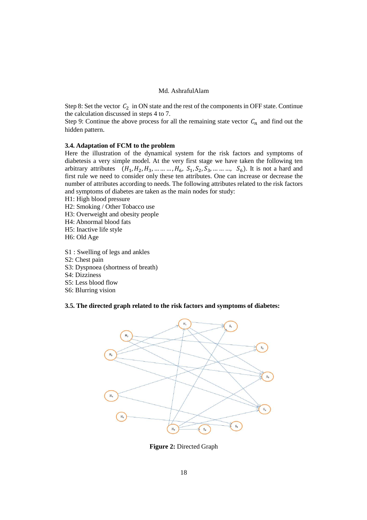Step 8: Set the vector  $C_2$  in ON state and the rest of the components in OFF state. Continue the calculation discussed in steps 4 to 7.

Step 9: Continue the above process for all the remaining state vector  $C_n$  and find out the hidden pattern.

# **3.4. Adaptation of FCM to the problem**

Here the illustration of the dynamical system for the risk factors and symptoms of diabetesis a very simple model. At the very first stage we have taken the following ten arbitrary attributes  $(H_1, H_2, H_3, \dots, H_6, S_1, S_2, S_3, \dots, S_6)$ . It is not a hard and first rule we need to consider only these ten attributes. One can increase or decrease the number of attributes according to needs. The following attributes related to the risk factors and symptoms of diabetes are taken as the main nodes for study:

H1: High blood pressure

- H2: Smoking / Other Tobacco use
- H3: Overweight and obesity people
- H4: Abnormal blood fats
- H5: Inactive life style
- H6: Old Age
- S1 : Swelling of legs and ankles
- S2: Chest pain
- S3: Dyspnoea (shortness of breath)
- S4: Dizziness
- S5: Less blood flow
- S6: Blurring vision

## **3.5. The directed graph related to the risk factors and symptoms of diabetes:**



**Figure 2:** Directed Graph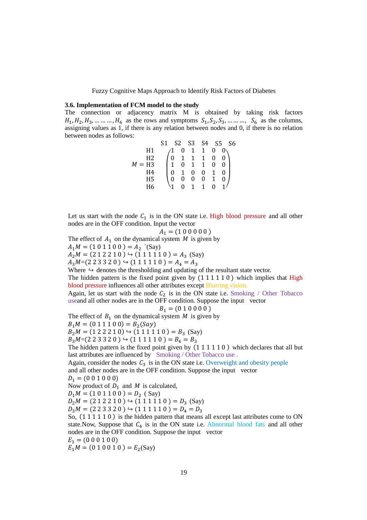## **3.6. Implementation of FCM model to the study**

The connection or adjacency matrix M is obtained by taking risk factors  $H_1, H_2, H_3, \dots, H_6$  as the rows and symptoms  $S_1, S_2, S_3, \dots, S_6$  as the columns, assigning values as 1, if there is any relation between nodes and 0, if there is no relation between nodes as follows:

|                | S1             | S <sub>2</sub> | S <sub>3</sub> | S4           | S <sub>5</sub> | S <sub>6</sub> |
|----------------|----------------|----------------|----------------|--------------|----------------|----------------|
| H1             |                | 0              | $\mathbf{1}$   | 1            |                |                |
| H <sub>2</sub> |                |                | $\mathbf{1}$   | $\mathbf{1}$ |                |                |
| $= H3$         | $\overline{1}$ | $\bar{0}$      | $\mathbf{1}$   | $\mathbf{1}$ |                |                |
| H4             |                |                | 0              | 0            |                |                |
| H <sub>5</sub> |                |                | 0              | $\Omega$     |                |                |
|                |                |                |                |              |                |                |

Let us start with the node  $C_1$  is in the ON state i.e. High blood pressure and all other nodes are in the OFF condition. Input the vector

$$
A_1 = (1\ 0\ 0\ 0\ 0\ 0)
$$

The effect of  $A_1$  on the dynamical system M is given by

 $A_1M = (1\ 0\ 1\ 1\ 0\ 0) = A_2$  '(Say)

 $A_2M = (2\ 1\ 2\ 2\ 1\ 0) \hookrightarrow (1\ 1\ 1\ 1\ 1\ 0) = A_3$  (Say)

 $A_3M=(2\ 2\ 3\ 3\ 2\ 0) \hookrightarrow (1\ 1\ 1\ 1\ 1\ 0) = A_4 = A_3$ 

Where  $\hookrightarrow$  denotes the thresholding and updating of the resultant state vector.

The hidden pattern is the fixed point given by  $(1\ 1\ 1\ 1\ 1\ 0)$  which implies that High blood pressure influences all other attributes except Blurring vision.

Again, let us start with the node  $C_2$  is in the ON state i.e. Smoking / Other Tobacco useand all other nodes are in the OFF condition. Suppose the input vector

$$
B_1 = (0 1 0 0 0 0)
$$

The effect of  $B_1$  on the dynamical system M is given by

$$
B_1M = (0 1 1 1 0 0) = B_2(Say)
$$

 $B_2M = (1\ 2\ 2\ 1\ 0) \hookrightarrow (1\ 1\ 1\ 1\ 1\ 0) = B_3$  (Say)

 $B_3M=(2\ 2\ 3\ 3\ 2\ 0) \hookrightarrow (1\ 1\ 1\ 1\ 1\ 0) = B_4 = B_3$ 

The hidden pattern is the fixed point given by  $(1 1 1 1 1 0)$  which declares that all but last attributes are influenced by Smoking / Other Tobacco use .

Again, consider the nodes  $C_3$  is in the ON state i.e. Overweight and obesity people and all other nodes are in the OFF condition. Suppose the input vector

 $D_1 = (0\ 0\ 1\ 0\ 0\ 0)$ 

Now product of  $D_1$  and M is calculated,

 $D_1M = (1\ 0\ 1\ 1\ 0\ 0) = D_2$  (Say)

 $D_2M = (2\ 1\ 2\ 2\ 1\ 0) \hookrightarrow (1\ 1\ 1\ 1\ 1\ 0) = D_3$  (Say)

 $D_3M = (2\ 2\ 3\ 3\ 2\ 0) \hookrightarrow (1\ 1\ 1\ 1\ 1\ 0) = D_4 = D_3$ 

So,  $(1\ 1\ 1\ 1\ 1\ 0)$  is the hidden pattern that means all except last attributes come to ON state.Now, Suppose that  $C_4$  is in the ON state i.e. Abnormal blood fats and all other nodes are in the OFF condition. Suppose the input vector

 $E_1 = (0\ 0\ 0\ 1\ 0\ 0)$ 

 $E_1M = (0 1 0 0 1 0) = E_2(Say)$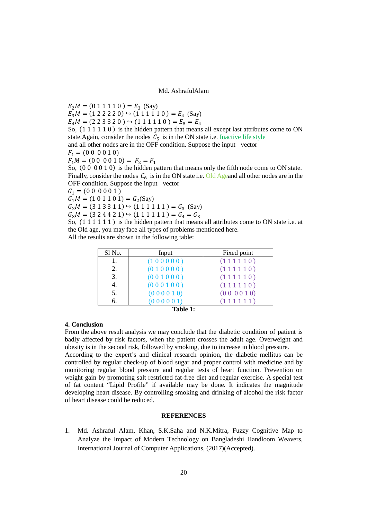$E_2M = (0 1 1 1 1 0) = E_3$  (Say)  $E_3M = (1\ 2\ 2\ 2\ 0) \hookrightarrow (1\ 1\ 1\ 1\ 1\ 0) = E_4$  (Say)  $E_4M = (2\ 2\ 3\ 3\ 2\ 0) \hookrightarrow (1\ 1\ 1\ 1\ 1\ 0) = E_5 = E_4$ So,  $(1\ 1\ 1\ 1\ 1\ 0)$  is the hidden pattern that means all except last attributes come to ON state. Again, consider the nodes  $C_5$  is in the ON state i.e. Inactive life style and all other nodes are in the OFF condition. Suppose the input vector  $F_1 = (0\ 0\ 0\ 0\ 1\ 0)$  $F_1M = (0\ 0\ 0\ 0\ 1\ 0) = F_2 = F_1$ So,  $(0\ 0\ 0\ 1\ 0)$  is the hidden pattern that means only the fifth node come to ON state. Finally, consider the nodes  $C_6$  is in the ON state i.e. Old Ageand all other nodes are in the OFF condition. Suppose the input vector  $G_1 = (0\ 0\ 0\ 0\ 0\ 1)$  $G_1M = (1\ 0\ 1\ 1\ 0\ 1) = G_2(Say)$  $G_2M = (3\ 1\ 3\ 3\ 1\ 1) \hookrightarrow (1\ 1\ 1\ 1\ 1\ 1) = G_3$  (Say)

 $G_3M = (3\ 2\ 4\ 4\ 2\ 1) \hookrightarrow (1\ 1\ 1\ 1\ 1\ 1) = G_4 = G_3$ 

So,  $(1\ 1\ 1\ 1\ 1\ 1)$  is the hidden pattern that means all attributes come to ON state i.e. at the Old age, you may face all types of problems mentioned here.

All the results are shown in the following table:

| Sl No. | Input    | Fixed point   |
|--------|----------|---------------|
|        | (100000) | (111110)      |
|        | (010000) | (111110)      |
|        | (001000) | (111110)      |
|        | (000100) | (111110)      |
|        | (000010) | (0 0 0 0 1 0) |
|        | (000001) | (111111)      |

**Table 1:** 

### **4. Conclusion**

From the above result analysis we may conclude that the diabetic condition of patient is badly affected by risk factors, when the patient crosses the adult age. Overweight and obesity is in the second risk, followed by smoking, due to increase in blood pressure.

According to the expert's and clinical research opinion, the diabetic mellitus can be controlled by regular check-up of blood sugar and proper control with medicine and by monitoring regular blood pressure and regular tests of heart function. Prevention on weight gain by promoting salt restricted fat-free diet and regular exercise. A special test of fat content "Lipid Profile" if available may be done. It indicates the magnitude developing heart disease. By controlling smoking and drinking of alcohol the risk factor of heart disease could be reduced.

# **REFERENCES**

1. Md. Ashraful Alam, Khan, S.K.Saha and N.K.Mitra, Fuzzy Cognitive Map to Analyze the Impact of Modern Technology on Bangladeshi Handloom Weavers, International Journal of Computer Applications, (2017)(Accepted).